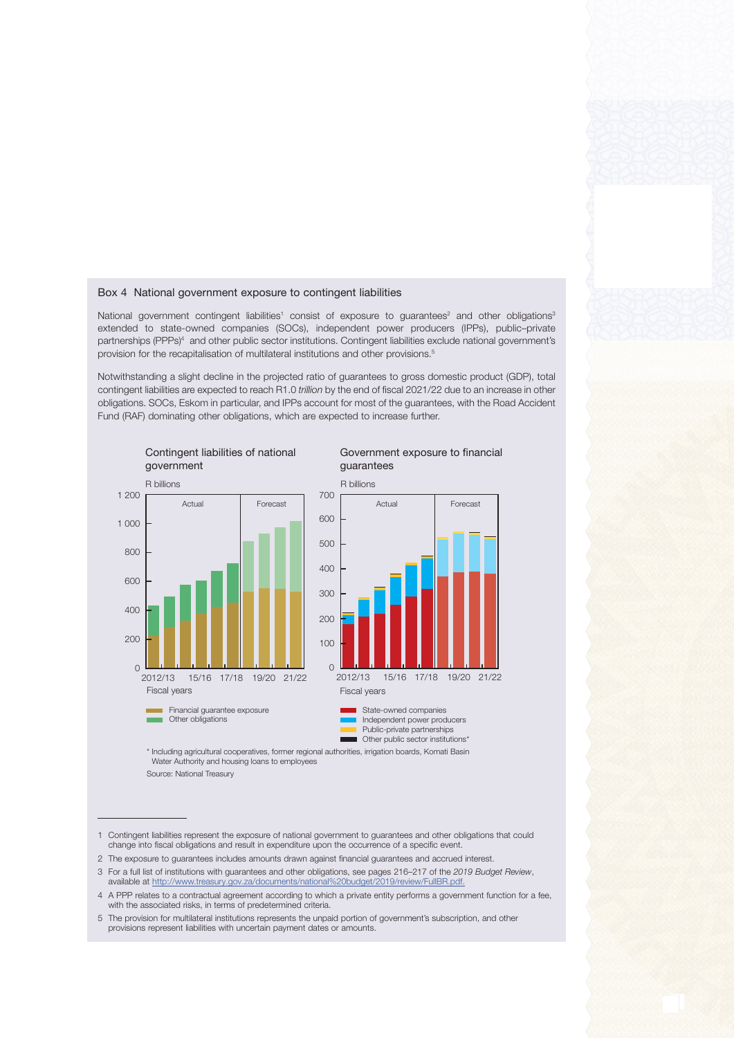## Box 4 National government exposure to contingent liabilities

National government contingent liabilities<sup>1</sup> consist of exposure to guarantees<sup>2</sup> and other obligations<sup>3</sup> extended to state-owned companies (SOCs), independent power producers (IPPs), public–private partnerships (PPPs)<sup>4</sup> and other public sector institutions. Contingent liabilities exclude national government's provision for the recapitalisation of multilateral institutions and other provisions.5

Notwithstanding a slight decline in the projected ratio of guarantees to gross domestic product (GDP), total contingent liabilities are expected to reach R1.0 trillion by the end of fiscal 2021/22 due to an increase in other obligations. SOCs, Eskom in particular, and IPPs account for most of the guarantees, with the Road Accident Fund (RAF) dominating other obligations, which are expected to increase further.



## Government exposure to financial guarantees



Public-private partnerships **Notify Communist Communist Communist Communist Communist Communist Communist Communist Communist Communist Communist Communist Communist Communist Communist Communist Communist Communist Communist Communist Communist Comm** 

\* Including agricultural cooperatives, former regional authorities, irrigation boards, Komati Basin Water Authority and housing loans to employees

- 2 The exposure to guarantees includes amounts drawn against financial guarantees and accrued interest.
- 3 For a full list of institutions with guarantees and other obligations, see pages 216–217 of the 2019 Budget Review, available at [http://www.treasury.gov.za/documents/national%20budget/2019/review/FullBR.pdf.](http://www.treasury.gov.za/documents/national%20budget/2019/review/FullBR.pdf)
- 4 A PPP relates to a contractual agreement according to which a private entity performs a government function for a fee, with the associated risks, in terms of predetermined criteria.
- 5 The provision for multilateral institutions represents the unpaid portion of government's subscription, and other provisions represent liabilities with uncertain payment dates or amounts.

Source: National Treasury

<sup>1</sup> Contingent liabilities represent the exposure of national government to guarantees and other obligations that could change into fiscal obligations and result in expenditure upon the occurrence of a specific event.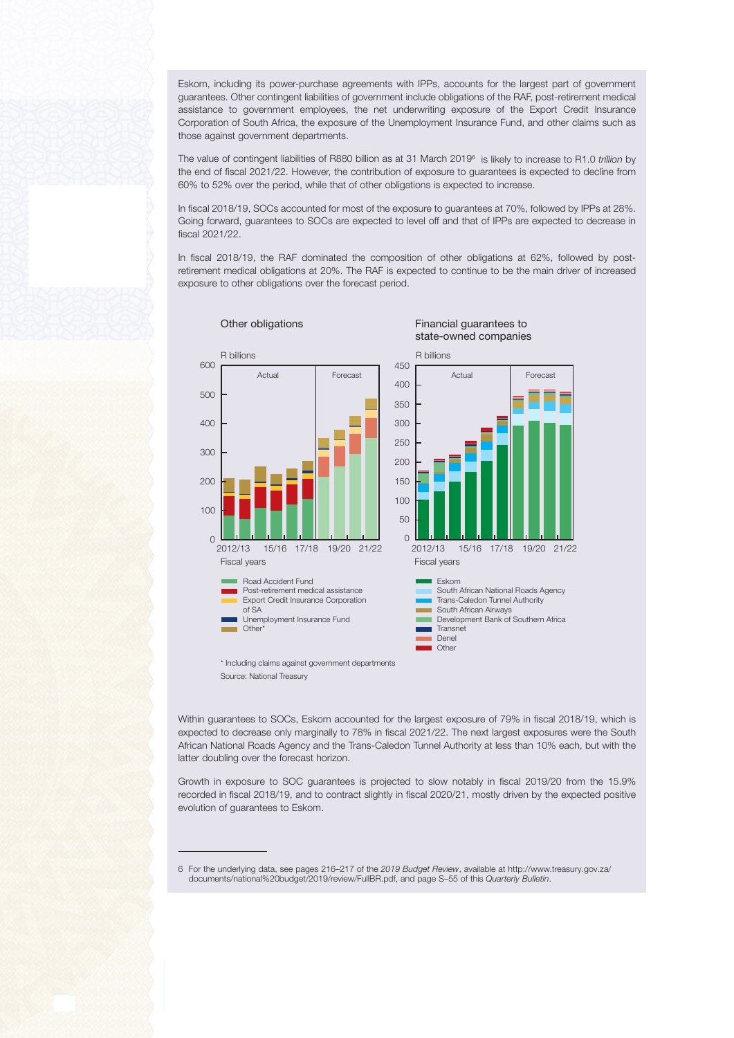Eskom, including its power-purchase agreements with IPPs, accounts for the largest part of government guarantees. Other contingent liabilities of government include obligations of the RAF, post-retirement medical assistance to government employees, the net underwriting exposure of the Export Credit Insurance Corporation of South Africa, the exposure of the Unemployment Insurance Fund, and other claims such as those against government departments.

The value of contingent liabilities of R880 billion as at 31 March 2019 $^{\circ}$  is likely to increase to R1.0 trillion by the end of fiscal 2021/22. However, the contribution of exposure to guarantees is expected to decline from 60% to 52% over the period, while that of other obligations is expected to increase.

In fiscal 2018/19, SOCs accounted for most of the exposure to guarantees at 70%, followed by IPPs at 28%. Going forward, guarantees to SOCs are expected to level off and that of IPPs are expected to decrease in fiscal 2021/22.

In fiscal 2018/19, the RAF dominated the composition of other obligations at 62%, followed by postretirement medical obligations at 20%. The RAF is expected to continue to be the main driver of increased exposure to other obligations over the forecast period.



\* Including claims against government departments Source: National Treasury

Within guarantees to SOCs, Eskom accounted for the largest exposure of 79% in fiscal 2018/19, which is expected to decrease only marginally to 78% in fiscal 2021/22. The next largest exposures were the South African National Roads Agency and the Trans-Caledon Tunnel Authority at less than 10% each, but with the latter doubling over the forecast horizon.

Growth in exposure to SOC guarantees is projected to slow notably in fiscal 2019/20 from the 15.9% recorded in fiscal 2018/19, and to contract slightly in fiscal 2020/21, mostly driven by the expected positive evolution of guarantees to Eskom.

6 For the underlying data, see pages 216–217 of the 2019 Budget Review, available at http://www.treasury.gov.za/ documents/national%20budget/2019/review/FullBR.pdf, and page S–55 of this Quarterly Bulletin.